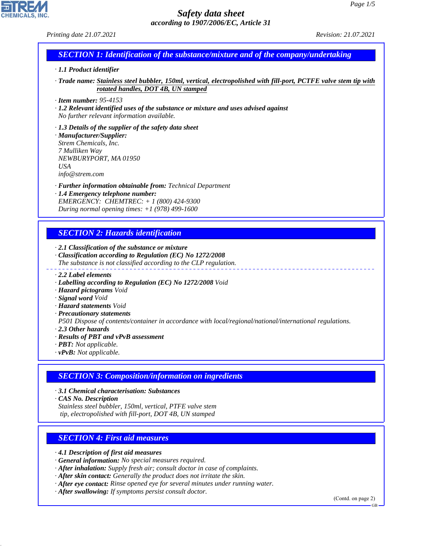*Printing date 21.07.2021 Revision: 21.07.2021*

# *SECTION 1: Identification of the substance/mixture and of the company/undertaking*

#### *· 1.1 Product identifier*

*· Trade name: Stainless steel bubbler, 150ml, vertical, electropolished with fill-port, PCTFE valve stem tip with rotated handles, DOT 4B, UN stamped*

*· Item number: 95-4153*

*· 1.2 Relevant identified uses of the substance or mixture and uses advised against No further relevant information available.*

*· 1.3 Details of the supplier of the safety data sheet · Manufacturer/Supplier: Strem Chemicals, Inc. 7 Mulliken Way NEWBURYPORT, MA 01950 USA info@strem.com*

*· Further information obtainable from: Technical Department · 1.4 Emergency telephone number: EMERGENCY: CHEMTREC: + 1 (800) 424-9300*

*During normal opening times: +1 (978) 499-1600*

# *SECTION 2: Hazards identification*

*· 2.1 Classification of the substance or mixture*

- *· Classification according to Regulation (EC) No 1272/2008 The substance is not classified according to the CLP regulation.*
- *· 2.2 Label elements*
- *· Labelling according to Regulation (EC) No 1272/2008 Void*
- *· Hazard pictograms Void*
- *· Signal word Void*
- *· Hazard statements Void*
- *· Precautionary statements*

*P501 Dispose of contents/container in accordance with local/regional/national/international regulations.*

- *· 2.3 Other hazards*
- *· Results of PBT and vPvB assessment*
- *· PBT: Not applicable.*
- *· vPvB: Not applicable.*

# *SECTION 3: Composition/information on ingredients*

*· 3.1 Chemical characterisation: Substances*

*· CAS No. Description*

44.1.1

*Stainless steel bubbler, 150ml, vertical, PTFE valve stem tip, electropolished with fill-port, DOT 4B, UN stamped*

### *SECTION 4: First aid measures*

*· 4.1 Description of first aid measures*

*· General information: No special measures required.*

- *· After inhalation: Supply fresh air; consult doctor in case of complaints.*
- *· After skin contact: Generally the product does not irritate the skin.*
- *· After eye contact: Rinse opened eye for several minutes under running water.*

*· After swallowing: If symptoms persist consult doctor.*

(Contd. on page 2)

GB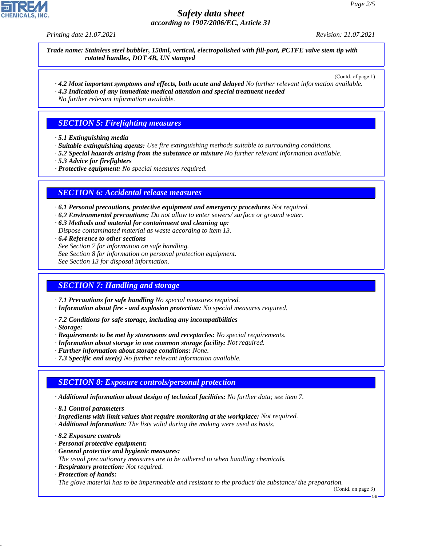*Printing date 21.07.2021 Revision: 21.07.2021*

*Trade name: Stainless steel bubbler, 150ml, vertical, electropolished with fill-port, PCTFE valve stem tip with rotated handles, DOT 4B, UN stamped*

(Contd. of page 1)

*· 4.2 Most important symptoms and effects, both acute and delayed No further relevant information available. · 4.3 Indication of any immediate medical attention and special treatment needed*

*No further relevant information available.*

### *SECTION 5: Firefighting measures*

- *· 5.1 Extinguishing media*
- *· Suitable extinguishing agents: Use fire extinguishing methods suitable to surrounding conditions.*
- *· 5.2 Special hazards arising from the substance or mixture No further relevant information available.*
- *· 5.3 Advice for firefighters*
- *· Protective equipment: No special measures required.*

#### *SECTION 6: Accidental release measures*

*· 6.1 Personal precautions, protective equipment and emergency procedures Not required.*

*· 6.2 Environmental precautions: Do not allow to enter sewers/ surface or ground water.*

*· 6.3 Methods and material for containment and cleaning up:*

*Dispose contaminated material as waste according to item 13.*

- *· 6.4 Reference to other sections*
- *See Section 7 for information on safe handling.*
- *See Section 8 for information on personal protection equipment.*

*See Section 13 for disposal information.*

### *SECTION 7: Handling and storage*

*· 7.1 Precautions for safe handling No special measures required.*

- *· Information about fire and explosion protection: No special measures required.*
- *· 7.2 Conditions for safe storage, including any incompatibilities*
- *· Storage:*
- *· Requirements to be met by storerooms and receptacles: No special requirements.*
- *· Information about storage in one common storage facility: Not required.*
- *· Further information about storage conditions: None.*
- *· 7.3 Specific end use(s) No further relevant information available.*

### *SECTION 8: Exposure controls/personal protection*

- *· Additional information about design of technical facilities: No further data; see item 7.*
- *· 8.1 Control parameters*
- *· Ingredients with limit values that require monitoring at the workplace: Not required.*
- *· Additional information: The lists valid during the making were used as basis.*
- *· 8.2 Exposure controls*
- *· Personal protective equipment:*
- *· General protective and hygienic measures:*
- *The usual precautionary measures are to be adhered to when handling chemicals.*
- *· Respiratory protection: Not required.*
- *· Protection of hands:*

44.1.1

*The glove material has to be impermeable and resistant to the product/ the substance/ the preparation.*

(Contd. on page 3)

GB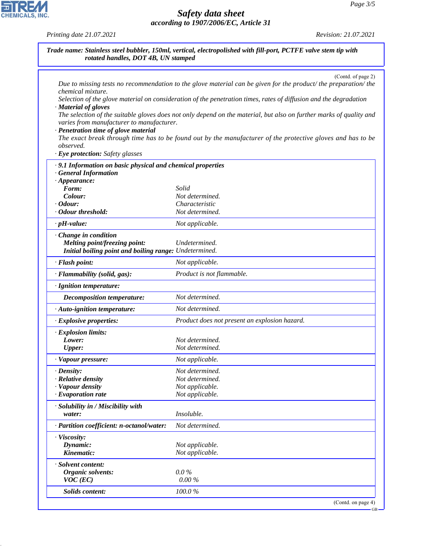$-GB$ 

# *Safety data sheet according to 1907/2006/EC, Article 31*

*Printing date 21.07.2021 Revision: 21.07.2021*

CHEMICALS, INC.

44.1.1

| Trade name: Stainless steel bubbler, 150ml, vertical, electropolished with fill-port, PCTFE valve stem tip with<br>rotated handles, DOT 4B, UN stamped                          |                                                                                                                                                                                                                                                                                                                                                                                                                                                                                                |  |
|---------------------------------------------------------------------------------------------------------------------------------------------------------------------------------|------------------------------------------------------------------------------------------------------------------------------------------------------------------------------------------------------------------------------------------------------------------------------------------------------------------------------------------------------------------------------------------------------------------------------------------------------------------------------------------------|--|
| chemical mixture.<br>· Material of gloves<br>varies from manufacturer to manufacturer.<br>· Penetration time of glove material<br>observed.<br>· Eye protection: Safety glasses | (Contd. of page 2)<br>Due to missing tests no recommendation to the glove material can be given for the product/the preparation/the<br>Selection of the glove material on consideration of the penetration times, rates of diffusion and the degradation<br>The selection of the suitable gloves does not only depend on the material, but also on further marks of quality and<br>The exact break through time has to be found out by the manufacturer of the protective gloves and has to be |  |
| .9.1 Information on basic physical and chemical properties<br><b>General Information</b><br>$\cdot$ Appearance:<br>Form:<br>Colour:<br>$\cdot$ Odour:<br>· Odour threshold:     | Solid<br>Not determined.<br>Characteristic<br>Not determined.                                                                                                                                                                                                                                                                                                                                                                                                                                  |  |
| $\cdot$ pH-value:<br>· Change in condition<br>Melting point/freezing point:<br>Initial boiling point and boiling range: Undetermined.                                           | Not applicable.<br>Undetermined.                                                                                                                                                                                                                                                                                                                                                                                                                                                               |  |
| · Flash point:                                                                                                                                                                  | Not applicable.                                                                                                                                                                                                                                                                                                                                                                                                                                                                                |  |
| · Flammability (solid, gas):                                                                                                                                                    | Product is not flammable.                                                                                                                                                                                                                                                                                                                                                                                                                                                                      |  |
| · Ignition temperature:                                                                                                                                                         |                                                                                                                                                                                                                                                                                                                                                                                                                                                                                                |  |
| Decomposition temperature:                                                                                                                                                      | Not determined.                                                                                                                                                                                                                                                                                                                                                                                                                                                                                |  |
| · Auto-ignition temperature:                                                                                                                                                    | Not determined.                                                                                                                                                                                                                                                                                                                                                                                                                                                                                |  |
| · Explosive properties:                                                                                                                                                         | Product does not present an explosion hazard.                                                                                                                                                                                                                                                                                                                                                                                                                                                  |  |
| · Explosion limits:<br>Lower:<br><b>Upper:</b>                                                                                                                                  | Not determined.<br>Not determined.                                                                                                                                                                                                                                                                                                                                                                                                                                                             |  |
| Vapour pressure:                                                                                                                                                                | Not applicable.                                                                                                                                                                                                                                                                                                                                                                                                                                                                                |  |
| · Density:<br>· Relative density<br>· Vapour density<br>· Evaporation rate                                                                                                      | Not determined.<br>Not determined.<br>Not applicable.<br>Not applicable.                                                                                                                                                                                                                                                                                                                                                                                                                       |  |
| · Solubility in / Miscibility with<br>water:                                                                                                                                    | Insoluble.                                                                                                                                                                                                                                                                                                                                                                                                                                                                                     |  |
| · Partition coefficient: n-octanol/water:                                                                                                                                       | Not determined.                                                                                                                                                                                                                                                                                                                                                                                                                                                                                |  |
| · Viscosity:<br>Dynamic:<br>Kinematic:                                                                                                                                          | Not applicable.<br>Not applicable.                                                                                                                                                                                                                                                                                                                                                                                                                                                             |  |
| · Solvent content:<br>Organic solvents:<br>$VOC$ (EC)                                                                                                                           | $0.0\%$<br>$0.00\%$                                                                                                                                                                                                                                                                                                                                                                                                                                                                            |  |
| Solids content:                                                                                                                                                                 | 100.0%                                                                                                                                                                                                                                                                                                                                                                                                                                                                                         |  |
|                                                                                                                                                                                 | (Contd. on page 4)                                                                                                                                                                                                                                                                                                                                                                                                                                                                             |  |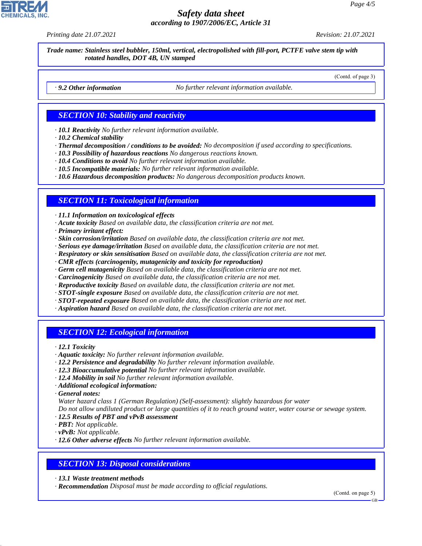*Printing date 21.07.2021 Revision: 21.07.2021*

*Trade name: Stainless steel bubbler, 150ml, vertical, electropolished with fill-port, PCTFE valve stem tip with rotated handles, DOT 4B, UN stamped*

(Contd. of page 3)

*· 9.2 Other information No further relevant information available.*

### *SECTION 10: Stability and reactivity*

*· 10.1 Reactivity No further relevant information available.*

- *· 10.2 Chemical stability*
- *· Thermal decomposition / conditions to be avoided: No decomposition if used according to specifications.*
- *· 10.3 Possibility of hazardous reactions No dangerous reactions known.*
- *· 10.4 Conditions to avoid No further relevant information available.*
- *· 10.5 Incompatible materials: No further relevant information available.*
- *· 10.6 Hazardous decomposition products: No dangerous decomposition products known.*

# *SECTION 11: Toxicological information*

*· 11.1 Information on toxicological effects*

- *· Acute toxicity Based on available data, the classification criteria are not met.*
- *· Primary irritant effect:*
- *· Skin corrosion/irritation Based on available data, the classification criteria are not met.*
- *· Serious eye damage/irritation Based on available data, the classification criteria are not met.*
- *· Respiratory or skin sensitisation Based on available data, the classification criteria are not met.*
- *· CMR effects (carcinogenity, mutagenicity and toxicity for reproduction)*
- *· Germ cell mutagenicity Based on available data, the classification criteria are not met.*
- *· Carcinogenicity Based on available data, the classification criteria are not met.*
- *· Reproductive toxicity Based on available data, the classification criteria are not met.*
- *· STOT-single exposure Based on available data, the classification criteria are not met.*
- *· STOT-repeated exposure Based on available data, the classification criteria are not met.*
- *· Aspiration hazard Based on available data, the classification criteria are not met.*

# *SECTION 12: Ecological information*

*· 12.1 Toxicity*

- *· Aquatic toxicity: No further relevant information available.*
- *· 12.2 Persistence and degradability No further relevant information available.*
- *· 12.3 Bioaccumulative potential No further relevant information available.*
- *· 12.4 Mobility in soil No further relevant information available.*
- *· Additional ecological information:*

*· General notes:*

44.1.1

*Water hazard class 1 (German Regulation) (Self-assessment): slightly hazardous for water*

*Do not allow undiluted product or large quantities of it to reach ground water, water course or sewage system.*

- *· 12.5 Results of PBT and vPvB assessment*
- *· PBT: Not applicable.*
- *· vPvB: Not applicable.*
- *· 12.6 Other adverse effects No further relevant information available.*

### *SECTION 13: Disposal considerations*

*· 13.1 Waste treatment methods*

*· Recommendation Disposal must be made according to official regulations.*

(Contd. on page 5)